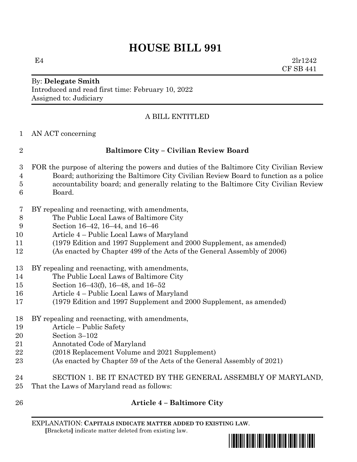# **HOUSE BILL 991**

E4 2lr1242 CF SB 441

# By: **Delegate Smith** Introduced and read first time: February 10, 2022 Assigned to: Judiciary

# A BILL ENTITLED

AN ACT concerning

# **Baltimore City – Civilian Review Board**

- FOR the purpose of altering the powers and duties of the Baltimore City Civilian Review Board; authorizing the Baltimore City Civilian Review Board to function as a police accountability board; and generally relating to the Baltimore City Civilian Review Board.
- BY repealing and reenacting, with amendments,
- The Public Local Laws of Baltimore City
- Section 16–42, 16–44, and 16–46
- Article 4 Public Local Laws of Maryland
- (1979 Edition and 1997 Supplement and 2000 Supplement, as amended)
- (As enacted by Chapter 499 of the Acts of the General Assembly of 2006)
- BY repealing and reenacting, with amendments,
- The Public Local Laws of Baltimore City
- Section 16–43(f), 16–48, and 16–52
- Article 4 Public Local Laws of Maryland
- (1979 Edition and 1997 Supplement and 2000 Supplement, as amended)
- BY repealing and reenacting, with amendments,
- Article Public Safety
- Section 3–102
- Annotated Code of Maryland
- (2018 Replacement Volume and 2021 Supplement)
- (As enacted by Chapter 59 of the Acts of the General Assembly of 2021)
- SECTION 1. BE IT ENACTED BY THE GENERAL ASSEMBLY OF MARYLAND, That the Laws of Maryland read as follows:
- 

# **Article 4 – Baltimore City**

EXPLANATION: **CAPITALS INDICATE MATTER ADDED TO EXISTING LAW**.  **[**Brackets**]** indicate matter deleted from existing law.

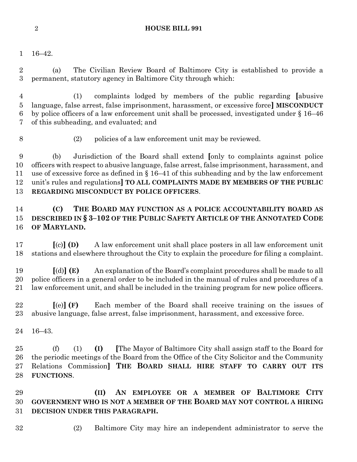### **HOUSE BILL 991**

16–42.

 (a) The Civilian Review Board of Baltimore City is established to provide a permanent, statutory agency in Baltimore City through which:

 (1) complaints lodged by members of the public regarding **[**abusive language, false arrest, false imprisonment, harassment, or excessive force**] MISCONDUCT** by police officers of a law enforcement unit shall be processed, investigated under § 16–46 of this subheading, and evaluated; and

- 
- (2) policies of a law enforcement unit may be reviewed.

 (b) Jurisdiction of the Board shall extend **[**only to complaints against police officers with respect to abusive language, false arrest, false imprisonment, harassment, and 11 use of excessive force as defined in  $\S 16-41$  of this subheading and by the law enforcement unit's rules and regulations**] TO ALL COMPLAINTS MADE BY MEMBERS OF THE PUBLIC REGARDING MISCONDUCT BY POLICE OFFICERS**.

# **(C) THE BOARD MAY FUNCTION AS A POLICE ACCOUNTABILITY BOARD AS DESCRIBED IN § 3–102 OF THE PUBLIC SAFETY ARTICLE OF THE ANNOTATED CODE OF MARYLAND.**

 **[**(c)**] (D)** A law enforcement unit shall place posters in all law enforcement unit stations and elsewhere throughout the City to explain the procedure for filing a complaint.

 **[**(d)**] (E)** An explanation of the Board's complaint procedures shall be made to all police officers in a general order to be included in the manual of rules and procedures of a law enforcement unit, and shall be included in the training program for new police officers.

 **[**(e)**] (F)** Each member of the Board shall receive training on the issues of abusive language, false arrest, false imprisonment, harassment, and excessive force.

16–43.

 (f) (1) **(I) [**The Mayor of Baltimore City shall assign staff to the Board for the periodic meetings of the Board from the Office of the City Solicitor and the Community Relations Commission**] THE BOARD SHALL HIRE STAFF TO CARRY OUT ITS FUNCTIONS**.

 **(II) AN EMPLOYEE OR A MEMBER OF BALTIMORE CITY GOVERNMENT WHO IS NOT A MEMBER OF THE BOARD MAY NOT CONTROL A HIRING DECISION UNDER THIS PARAGRAPH.**

- 
- (2) Baltimore City may hire an independent administrator to serve the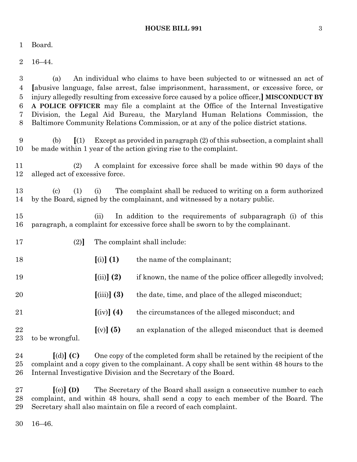#### **HOUSE BILL 991** 3

Board.

16–44.

| 3              | (a)                                                                                                                                                                                     |                                | An individual who claims to have been subjected to or witnessed an act of                                                                      |  |  |
|----------------|-----------------------------------------------------------------------------------------------------------------------------------------------------------------------------------------|--------------------------------|------------------------------------------------------------------------------------------------------------------------------------------------|--|--|
| 4              | [abusive language, false arrest, false imprisonment, harassment, or excessive force, or                                                                                                 |                                |                                                                                                                                                |  |  |
| $\overline{5}$ |                                                                                                                                                                                         |                                | injury allegedly resulting from excessive force caused by a police officer, MISCONDUCT BY                                                      |  |  |
| 6              |                                                                                                                                                                                         |                                | A POLICE OFFICER may file a complaint at the Office of the Internal Investigative                                                              |  |  |
| 7              |                                                                                                                                                                                         |                                | Division, the Legal Aid Bureau, the Maryland Human Relations Commission, the                                                                   |  |  |
| 8              |                                                                                                                                                                                         |                                | Baltimore Community Relations Commission, or at any of the police district stations.                                                           |  |  |
| 9<br>10        | $\left[ (1) \right]$<br>(b)                                                                                                                                                             |                                | Except as provided in paragraph (2) of this subsection, a complaint shall<br>be made within 1 year of the action giving rise to the complaint. |  |  |
| 11             | (2)                                                                                                                                                                                     |                                | A complaint for excessive force shall be made within 90 days of the                                                                            |  |  |
| 12             | alleged act of excessive force.                                                                                                                                                         |                                |                                                                                                                                                |  |  |
|                |                                                                                                                                                                                         |                                |                                                                                                                                                |  |  |
| 13<br>14       | The complaint shall be reduced to writing on a form authorized<br>$\left( \text{c} \right)$<br>(1)<br>(i)<br>by the Board, signed by the complainant, and witnessed by a notary public. |                                |                                                                                                                                                |  |  |
|                |                                                                                                                                                                                         |                                |                                                                                                                                                |  |  |
| 15             |                                                                                                                                                                                         | (ii)                           | In addition to the requirements of subparagraph (i) of this                                                                                    |  |  |
| 16             |                                                                                                                                                                                         |                                | paragraph, a complaint for excessive force shall be sworn to by the complainant.                                                               |  |  |
|                |                                                                                                                                                                                         |                                |                                                                                                                                                |  |  |
| 17             | (2)                                                                                                                                                                                     |                                | The complaint shall include:                                                                                                                   |  |  |
| 18             |                                                                                                                                                                                         | $[(i)]$ $(1)$                  | the name of the complainant;                                                                                                                   |  |  |
|                |                                                                                                                                                                                         |                                |                                                                                                                                                |  |  |
| 19             |                                                                                                                                                                                         | $(iii)$ $(2)$                  | if known, the name of the police officer allegedly involved;                                                                                   |  |  |
| 20             |                                                                                                                                                                                         | $(iii)$ (3)                    | the date, time, and place of the alleged misconduct;                                                                                           |  |  |
| 21             |                                                                                                                                                                                         |                                | the circumstances of the alleged misconduct; and                                                                                               |  |  |
|                |                                                                                                                                                                                         | $\left[\text{(iv)}\right]$ (4) |                                                                                                                                                |  |  |
| 22             |                                                                                                                                                                                         | $[(v)]$ (5)                    | an explanation of the alleged misconduct that is deemed                                                                                        |  |  |
| 23             | to be wrongful.                                                                                                                                                                         |                                |                                                                                                                                                |  |  |
| 24             | $[(d)]$ $(C)$                                                                                                                                                                           |                                | One copy of the completed form shall be retained by the recipient of the                                                                       |  |  |

 complaint and a copy given to the complainant. A copy shall be sent within 48 hours to the Internal Investigative Division and the Secretary of the Board.

 **[**(e)**] (D)** The Secretary of the Board shall assign a consecutive number to each complaint, and within 48 hours, shall send a copy to each member of the Board. The Secretary shall also maintain on file a record of each complaint.

16–46.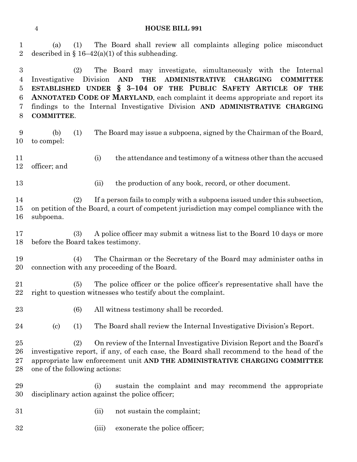#### **HOUSE BILL 991**

(a) (1) The Board shall review all complaints alleging police misconduct

2 described in § 16–42(a)(1) of this subheading. (2) The Board may investigate, simultaneously with the Internal Investigative Division **AND THE ADMINISTRATIVE CHARGING COMMITTEE ESTABLISHED UNDER § 3–104 OF THE PUBLIC SAFETY ARTICLE OF THE ANNOTATED CODE OF MARYLAND**, each complaint it deems appropriate and report its findings to the Internal Investigative Division **AND ADMINISTRATIVE CHARGING COMMITTEE**. (b) (1) The Board may issue a subpoena, signed by the Chairman of the Board, to compel: (i) the attendance and testimony of a witness other than the accused officer; and 13 (ii) the production of any book, record, or other document. (2) If a person fails to comply with a subpoena issued under this subsection, on petition of the Board, a court of competent jurisdiction may compel compliance with the subpoena. (3) A police officer may submit a witness list to the Board 10 days or more before the Board takes testimony. (4) The Chairman or the Secretary of the Board may administer oaths in connection with any proceeding of the Board. (5) The police officer or the police officer's representative shall have the right to question witnesses who testify about the complaint. (6) All witness testimony shall be recorded. (c) (1) The Board shall review the Internal Investigative Division's Report. (2) On review of the Internal Investigative Division Report and the Board's investigative report, if any, of each case, the Board shall recommend to the head of the appropriate law enforcement unit **AND THE ADMINISTRATIVE CHARGING COMMITTEE** one of the following actions: (i) sustain the complaint and may recommend the appropriate disciplinary action against the police officer; 31 (ii) not sustain the complaint; (iii) exonerate the police officer;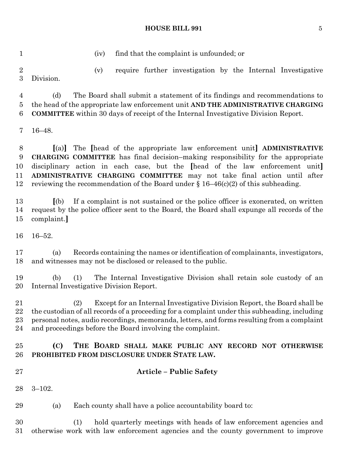#### **HOUSE BILL 991** 5

(iv) find that the complaint is unfounded; or

 (v) require further investigation by the Internal Investigative Division.

 (d) The Board shall submit a statement of its findings and recommendations to the head of the appropriate law enforcement unit **AND THE ADMINISTRATIVE CHARGING COMMITTEE** within 30 days of receipt of the Internal Investigative Division Report.

16–48.

 **[**(a)**]** The **[**head of the appropriate law enforcement unit**] ADMINISTRATIVE CHARGING COMMITTEE** has final decision–making responsibility for the appropriate disciplinary action in each case, but the **[**head of the law enforcement unit**] ADMINISTRATIVE CHARGING COMMITTEE** may not take final action until after 12 reviewing the recommendation of the Board under  $\S 16-46(c)(2)$  of this subheading.

 **[**(b) If a complaint is not sustained or the police officer is exonerated, on written request by the police officer sent to the Board, the Board shall expunge all records of the complaint.**]**

16–52.

 (a) Records containing the names or identification of complainants, investigators, and witnesses may not be disclosed or released to the public.

 (b) (1) The Internal Investigative Division shall retain sole custody of an Internal Investigative Division Report.

 (2) Except for an Internal Investigative Division Report, the Board shall be the custodian of all records of a proceeding for a complaint under this subheading, including personal notes, audio recordings, memoranda, letters, and forms resulting from a complaint and proceedings before the Board involving the complaint.

# **(C) THE BOARD SHALL MAKE PUBLIC ANY RECORD NOT OTHERWISE PROHIBITED FROM DISCLOSURE UNDER STATE LAW.**

- 
- **Article – Public Safety**
- 3–102.

(a) Each county shall have a police accountability board to:

 (1) hold quarterly meetings with heads of law enforcement agencies and otherwise work with law enforcement agencies and the county government to improve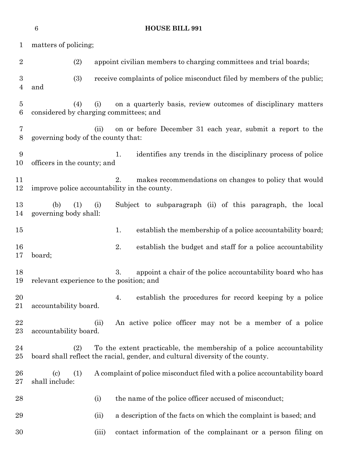|                                    | $\,6$<br><b>HOUSE BILL 991</b>                                                                                                                               |       |                                                                                                             |  |  |  |
|------------------------------------|--------------------------------------------------------------------------------------------------------------------------------------------------------------|-------|-------------------------------------------------------------------------------------------------------------|--|--|--|
| $\mathbf{1}$                       | matters of policing;                                                                                                                                         |       |                                                                                                             |  |  |  |
| $\overline{2}$                     | (2)                                                                                                                                                          |       | appoint civilian members to charging committees and trial boards;                                           |  |  |  |
| $\boldsymbol{3}$<br>$\overline{4}$ | (3)<br>and                                                                                                                                                   |       | receive complaints of police misconduct filed by members of the public;                                     |  |  |  |
| $\bf 5$<br>6                       | (4)<br>considered by charging committees; and                                                                                                                | (i)   | on a quarterly basis, review outcomes of disciplinary matters                                               |  |  |  |
| 7<br>$8\,$                         | governing body of the county that:                                                                                                                           | (ii)  | on or before December 31 each year, submit a report to the                                                  |  |  |  |
| 9<br>10                            | officers in the county; and                                                                                                                                  |       | identifies any trends in the disciplinary process of police<br>1.                                           |  |  |  |
| 11<br>12                           |                                                                                                                                                              |       | makes recommendations on changes to policy that would<br>2.<br>improve police accountability in the county. |  |  |  |
| 13<br>14                           | (1)<br>(b)<br>governing body shall:                                                                                                                          | (i)   | Subject to subparagraph (ii) of this paragraph, the local                                                   |  |  |  |
| $15\,$                             |                                                                                                                                                              |       | establish the membership of a police accountability board;<br>1.                                            |  |  |  |
| 16<br>17                           | board;                                                                                                                                                       |       | 2.<br>establish the budget and staff for a police accountability                                            |  |  |  |
| 18<br>19                           | 3.<br>appoint a chair of the police accountability board who has<br>relevant experience to the position; and                                                 |       |                                                                                                             |  |  |  |
| 20<br>21                           | accountability board.                                                                                                                                        |       | establish the procedures for record keeping by a police<br>4.                                               |  |  |  |
| 22<br>$^{23}$                      | accountability board.                                                                                                                                        | (ii)  | An active police officer may not be a member of a police                                                    |  |  |  |
| 24<br>$25\,$                       | To the extent practicable, the membership of a police accountability<br>(2)<br>board shall reflect the racial, gender, and cultural diversity of the county. |       |                                                                                                             |  |  |  |
| 26<br>$27\,$                       | $\left( \mathrm{c}\right)$<br>(1)<br>shall include:                                                                                                          |       | A complaint of police misconduct filed with a police accountability board                                   |  |  |  |
| 28                                 |                                                                                                                                                              | (i)   | the name of the police officer accused of misconduct;                                                       |  |  |  |
| 29                                 |                                                                                                                                                              | (ii)  | a description of the facts on which the complaint is based; and                                             |  |  |  |
| 30                                 |                                                                                                                                                              | (iii) | contact information of the complainant or a person filing on                                                |  |  |  |